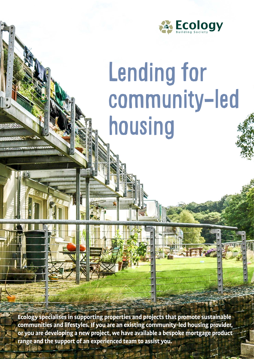

# Lending for community-led housing

**Ecology specialises in supporting properties and projects that promote sustainable communities and lifestyles. If you are an existing community-led housing provider, or you are developing a new project, we have available a bespoke mortgage product range and the support of an experienced team to assist you.**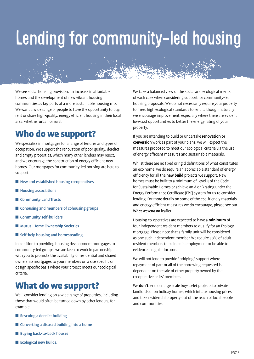# Lending for community-led housing

We see social housing provision, an increase in affordable homes and the development of new vibrant housing communities as key parts of a more sustainable housing mix. We want a wide range of people to have the opportunity to buy, rent or share high-quality, energy efficient housing in their local area, whether urban or rural.

### Who do we support?

We specialise in mortgages for a range of tenures and types of occupation. We support the renovation of poor quality, derelict and empty properties, which many other lenders may reject, and we encourage the construction of energy efficient new homes. Our mortgages for community-led housing are here to support:

- $\blacksquare$  New and established housing co-operatives
- $\blacksquare$  Housing associations
- **n** Community Land Trusts
- $\blacksquare$  Cohousing and members of cohousing groups
- $\blacksquare$  Community self-builders
- Mutual Home Ownership Societies
- self-help housing and homesteading.

In addition to providing housing development mortgages to community-led groups, we are keen to work in partnership with you to promote the availability of residential and shared ownership mortgages to your members on a site specific or design specific basis where your project meets our ecological criteria.

#### What do we support?

We'll consider lending on a wide range of properties, including those that would often be turned down by other lenders, for example:

- $\blacksquare$  Rescuing a derelict building
- $\blacksquare$  Converting a disused building into a home
- Buying back-to-back houses
- $\blacksquare$  Ecological new builds.

We take a balanced view of the social and ecological merits of each case when considering support for community-led housing proposals. We do not necessarily require your property to meet high ecological standards to lend, although naturally we encourage improvement, especially where there are evident low-cost opportunities to better the energy rating of your property.

If you are intending to build or undertake **renovation or conversion** work as part of your plans, we will expect the measures proposed to meet our ecological criteria via the use of energy efficient measures and sustainable materials.

Whilst there are no fixed or rigid definitions of what constitutes an eco home, we do require an appreciable standard of energy efficiency for all the **new build** projects we support. New homes must be built to a minimum of Level 4 of the Code for Sustainable Homes or achieve an A or B rating under the Energy Performance Certificate (EPC) system for us to consider lending. For more details on some of the eco-friendly materials and energy efficient measures we do encourage, please see our *What we lend on* leaflet.

Housing co-operatives are expected to have a **minimum** of four independent resident members to qualify for an Ecology mortgage. Please note that a family unit will be considered as one such independent member. We require 50% of adult resident members to be in paid employment or be able to evidence a regular income.

We will not lend to provide "bridging" support where repayment of part or all of the borrowing requested is dependent on the sale of other property owned by the co-operative or its' members.

We **don't** lend on large scale buy-to-let projects to private landlords or on holiday homes, which inflate housing prices and take residential property out of the reach of local people and communities.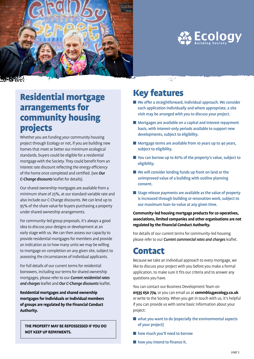



#### $\gamma_{\rm{eq}}^{\rm{max}}$

#### Residential mortgage arrangements for community housing projects

Whether you are funding your community housing project through Ecology or not, if you are building new homes that meet or better our minimum ecological standards, buyers could be eligible for a residential mortgage with the Society. They could benefit from an interest rate discount reflecting the energy efficiency of the home once completed and certified. (see *Our C-Change discounts* leaflet for details).

Our shared ownership mortgages are available from a minimum share of 25%, at our standard variable rate and also include our C-Change discounts. We can lend up to 95% of the share value for buyers purchasing a property under shared ownership arrangements.

For community-led group proposals, it's always a good idea to discuss your designs or development at an early stage with us. We can then assess our capacity to provide residential mortgages for members and provide an indication as to how many units we may be willing to mortgage on completion on any given site, subject to assessing the circumstances of individual applicants.

For full details of our current terms for residential borrowers, including our terms for shared ownership mortgages, please refer to our *Current residential rates and charges* leaflet and *Our C-Change discounts* leaflet.

**Residential mortgages and shared ownership mortgages for individuals or individual members of groups are regulated by the Financial Conduct Authority.**

**THE PROPERTY MAY BE REPOSSESSED IF YOU DO NOT KEEP UP REPAYMENTS.**

#### Key features

- We offer a straightforward, individual approach. We consider each application individually and where appropriate, a site visit may be arranged with you to discuss your project.
- Mortgages are available on a capital and interest repayment basis, with interest-only periods available to support new developments, subject to eligibility.
- **n** Mortgage terms are available from 10 years up to 40 years, subject to eligibility.
- You can borrow up to 80% of the property's value, subject to eligibility.
- **N** We will consider lending funds up front on land or the unimproved value of a building with outline planning consent.
- Stage release payments are available as the value of property is increased through building or renovation work, subject to our maximum loan-to-value at any given time.

#### **Community-led housing mortgage products for co-operatives, associations, limited companies and other organisations are not regulated by the Financial Conduct Authority.**

For details of our current terms for community-led housing please refer to our *Current commercial rates and charges* leaflet.

#### Contact

Because we take an individual approach to every mortgage, we like to discuss your project with you before you make a formal application, to make sure it fits our criteria and to answer any questions you have.

You can contact our Business Development Team on **01535 650 774**, or you can email us at **commbiz@ecology.co.uk**

or write to the Society. When you get in touch with us, it's helpful if you can provide us with some basic information about your project:

- what you want to do (especially the environmental aspects of your project)
- how much you'll need to borrow
- $\blacksquare$  how you intend to finance it.